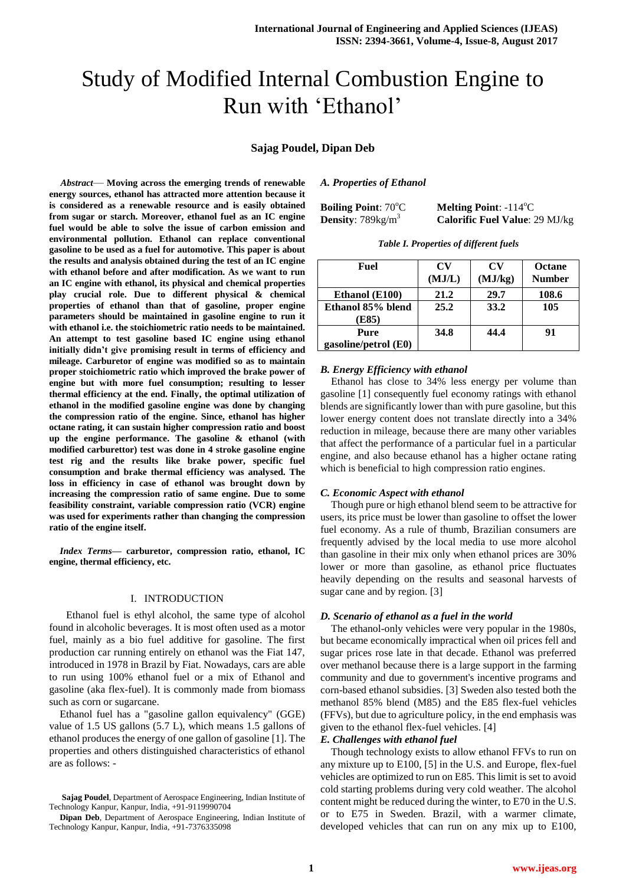# Study of Modified Internal Combustion Engine to Run with 'Ethanol'

# **Sajag Poudel, Dipan Deb**

*Abstract*— **Moving across the emerging trends of renewable energy sources, ethanol has attracted more attention because it is considered as a renewable resource and is easily obtained from sugar or starch. Moreover, ethanol fuel as an IC engine fuel would be able to solve the issue of carbon emission and environmental pollution. Ethanol can replace conventional gasoline to be used as a fuel for automotive. This paper is about the results and analysis obtained during the test of an IC engine with ethanol before and after modification. As we want to run an IC engine with ethanol, its physical and chemical properties play crucial role. Due to different physical & chemical properties of ethanol than that of gasoline, proper engine parameters should be maintained in gasoline engine to run it with ethanol i.e. the stoichiometric ratio needs to be maintained. An attempt to test gasoline based IC engine using ethanol initially didn't give promising result in terms of efficiency and mileage. Carburetor of engine was modified so as to maintain proper stoichiometric ratio which improved the brake power of engine but with more fuel consumption; resulting to lesser thermal efficiency at the end. Finally, the optimal utilization of ethanol in the modified gasoline engine was done by changing the compression ratio of the engine. Since, ethanol has higher octane rating, it can sustain higher compression ratio and boost up the engine performance. The gasoline & ethanol (with modified carburettor) test was done in 4 stroke gasoline engine test rig and the results like brake power, specific fuel consumption and brake thermal efficiency was analysed. The loss in efficiency in case of ethanol was brought down by increasing the compression ratio of same engine. Due to some feasibility constraint, variable compression ratio (VCR) engine was used for experiments rather than changing the compression ratio of the engine itself.**

*Index Terms***— carburetor, compression ratio, ethanol, IC engine, thermal efficiency, etc.**

#### I. INTRODUCTION

 Ethanol fuel is ethyl alcohol, the same type of alcohol found in alcoholic beverages. It is most often used as a motor fuel, mainly as a bio fuel additive for gasoline. The first production car running entirely on ethanol was the Fiat 147, introduced in 1978 in Brazil by Fiat. Nowadays, cars are able to run using 100% ethanol fuel or a mix of Ethanol and gasoline (aka flex-fuel). It is commonly made from biomass such as corn or sugarcane.

Ethanol fuel has a "gasoline gallon equivalency" (GGE) value of 1.5 US gallons (5.7 L), which means 1.5 gallons of ethanol produces the energy of one gallon of gasoline [1]. The properties and others distinguished characteristics of ethanol are as follows: -

## *A. Properties of Ethanol*

| <b>Boiling Point: 70°C</b>           | <b>Melting Point:</b> $-114^{\circ}$ C |
|--------------------------------------|----------------------------------------|
| <b>Density</b> : $789 \text{kg/m}^3$ | <b>Calorific Fuel Value: 29 MJ/kg</b>  |

| Table I. Properties of different fuels |  |  |  |
|----------------------------------------|--|--|--|
|----------------------------------------|--|--|--|

| Fuel                 | CV<br>(MJ/L) | CV<br>(MJ/kg) | <b>Octane</b><br><b>Number</b> |
|----------------------|--------------|---------------|--------------------------------|
| Ethanol (E100)       | 21.2         | 29.7          | 108.6                          |
| Ethanol 85% blend    | 25.2         | 33.2          | 105                            |
| (E85)                |              |               |                                |
| Pure                 | 34.8         | 44.4          | 91                             |
| gasoline/petrol (E0) |              |               |                                |

#### *B. Energy Efficiency with ethanol*

Ethanol has close to 34% less energy per volume than gasoline [1] consequently fuel economy ratings with ethanol blends are significantly lower than with pure gasoline, but this lower energy content does not translate directly into a 34% reduction in mileage, because there are many other variables that affect the performance of a particular fuel in a particular engine, and also because ethanol has a higher octane rating which is beneficial to high compression ratio engines.

#### *C. Economic Aspect with ethanol*

Though pure or high ethanol blend seem to be attractive for users, its price must be lower than gasoline to offset the lower fuel economy. As a rule of thumb, Brazilian consumers are frequently advised by the local media to use more alcohol than gasoline in their mix only when ethanol prices are 30% lower or more than gasoline, as ethanol price fluctuates heavily depending on the results and seasonal harvests of sugar cane and by region. [3]

# *D. Scenario of ethanol as a fuel in the world*

The ethanol-only vehicles were very popular in the 1980s, but became economically impractical when oil prices fell and sugar prices rose late in that decade. Ethanol was preferred over methanol because there is a large support in the farming community and due to government's incentive programs and corn-based ethanol subsidies. [3] Sweden also tested both the methanol 85% blend (M85) and the E85 flex-fuel vehicles (FFVs), but due to agriculture policy, in the end emphasis was given to the ethanol flex-fuel vehicles. [4]

## *E. Challenges with ethanol fuel*

Though technology exists to allow ethanol FFVs to run on any mixture up to E100, [5] in the U.S. and Europe, flex-fuel vehicles are optimized to run on E85. This limit is set to avoid cold starting problems during very cold weather. The alcohol content might be reduced during the winter, to E70 in the U.S. or to E75 in Sweden. Brazil, with a warmer climate, developed vehicles that can run on any mix up to E100,

**Sajag Poudel**, Department of Aerospace Engineering, Indian Institute of Technology Kanpur, Kanpur, India, +91-9119990704

**Dipan Deb**, Department of Aerospace Engineering, Indian Institute of Technology Kanpur, Kanpur, India, +91-7376335098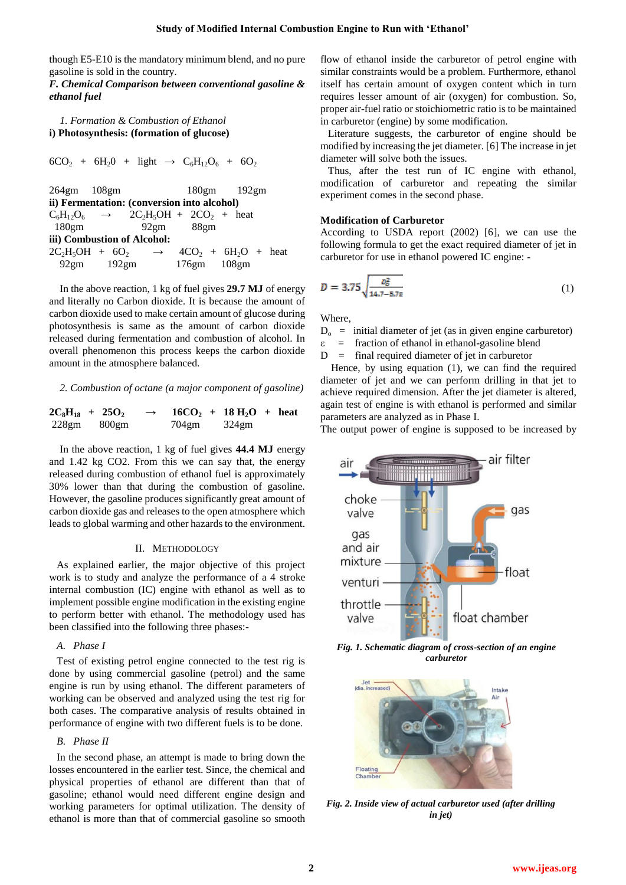though E5-E10 is the mandatory minimum blend, and no pure gasoline is sold in the country.

*F. Chemical Comparison between conventional gasoline & ethanol fuel* 

*1. Formation & Combustion of Ethanol* **i) Photosynthesis: (formation of glucose)**

 $6CO_2 + 6H_2O + light \rightarrow C_6H_12O_6 + 6O_2$ 

264gm 108gm 180gm 192gm **ii) Fermentation: (conversion into alcohol)**  $C_6H_{12}O_6 \rightarrow$  2C<sub>2</sub>H<sub>5</sub>OH + 2CO<sub>2</sub> + heat 180gm 92gm 88gm **iii) Combustion of Alcohol:**   $2C_2H_5OH + 6O_2 \rightarrow 4CO_2 + 6H_2O + heat$ 92gm 192gm 176gm 108gm

In the above reaction, 1 kg of fuel gives **29.7 MJ** of energy and literally no Carbon dioxide. It is because the amount of carbon dioxide used to make certain amount of glucose during photosynthesis is same as the amount of carbon dioxide released during fermentation and combustion of alcohol. In overall phenomenon this process keeps the carbon dioxide amount in the atmosphere balanced.

#### *2. Combustion of octane (a major component of gasoline)*

$$
2C_8H_{18} + 25O_2 \rightarrow 16CO_2 + 18 H_2O + heat 228gm 800gm 704gm 324gm
$$

In the above reaction, 1 kg of fuel gives **44.4 MJ** energy and 1.42 kg CO2. From this we can say that, the energy released during combustion of ethanol fuel is approximately 30% lower than that during the combustion of gasoline. However, the gasoline produces significantly great amount of carbon dioxide gas and releases to the open atmosphere which leads to global warming and other hazards to the environment.

#### II. METHODOLOGY

As explained earlier, the major objective of this project work is to study and analyze the performance of a 4 stroke internal combustion (IC) engine with ethanol as well as to implement possible engine modification in the existing engine to perform better with ethanol. The methodology used has been classified into the following three phases:-

## *A. Phase I*

Test of existing petrol engine connected to the test rig is done by using commercial gasoline (petrol) and the same engine is run by using ethanol. The different parameters of working can be observed and analyzed using the test rig for both cases. The comparative analysis of results obtained in performance of engine with two different fuels is to be done.

## *B. Phase II*

In the second phase, an attempt is made to bring down the losses encountered in the earlier test. Since, the chemical and physical properties of ethanol are different than that of gasoline; ethanol would need different engine design and working parameters for optimal utilization. The density of ethanol is more than that of commercial gasoline so smooth flow of ethanol inside the carburetor of petrol engine with similar constraints would be a problem. Furthermore, ethanol itself has certain amount of oxygen content which in turn requires lesser amount of air (oxygen) for combustion. So, proper air-fuel ratio or stoichiometric ratio is to be maintained in carburetor (engine) by some modification.

Literature suggests, the carburetor of engine should be modified by increasing the jet diameter. [6] The increase in jet diameter will solve both the issues.

Thus, after the test run of IC engine with ethanol, modification of carburetor and repeating the similar experiment comes in the second phase.

#### **Modification of Carburetor**

According to USDA report (2002) [6], we can use the following formula to get the exact required diameter of jet in carburetor for use in ethanol powered IC engine: -

$$
D = 3.75 \sqrt{\frac{p_0^2}{14.7 - 5.7z}}
$$
 (1)

Where,

 $D_0$  = initial diameter of jet (as in given engine carburetor)

- $\epsilon$  = fraction of ethanol in ethanol-gasoline blend
- $D =$  final required diameter of jet in carburetor

Hence, by using equation (1), we can find the required diameter of jet and we can perform drilling in that jet to achieve required dimension. After the jet diameter is altered, again test of engine is with ethanol is performed and similar parameters are analyzed as in Phase I.

The output power of engine is supposed to be increased by



*Fig. 1. Schematic diagram of cross-section of an engine carburetor*



*Fig. 2. Inside view of actual carburetor used (after drilling in jet)*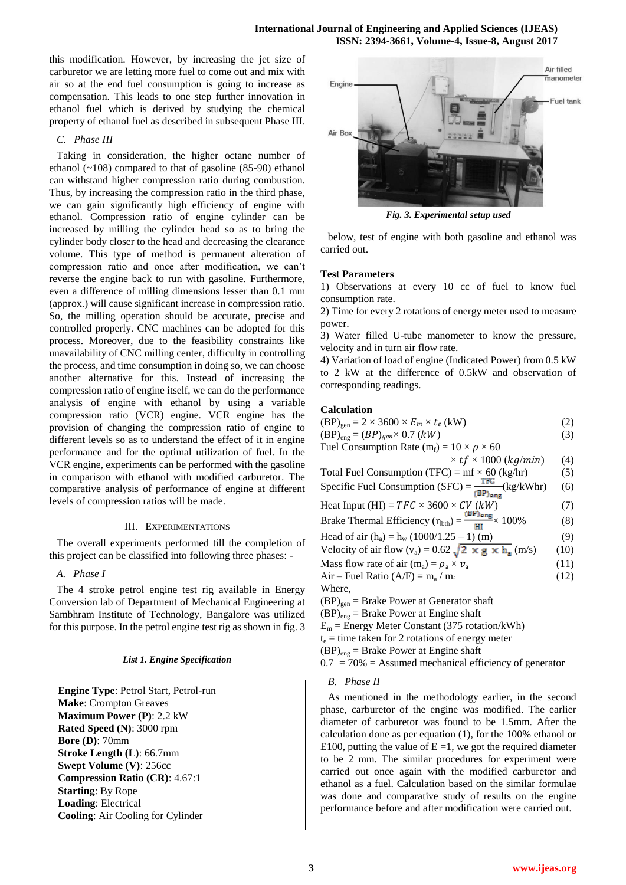this modification. However, by increasing the jet size of carburetor we are letting more fuel to come out and mix with air so at the end fuel consumption is going to increase as compensation. This leads to one step further innovation in ethanol fuel which is derived by studying the chemical property of ethanol fuel as described in subsequent Phase III.

# *C. Phase III*

Taking in consideration, the higher octane number of ethanol  $(\sim 108)$  compared to that of gasoline  $(85-90)$  ethanol can withstand higher compression ratio during combustion. Thus, by increasing the compression ratio in the third phase, we can gain significantly high efficiency of engine with ethanol. Compression ratio of engine cylinder can be increased by milling the cylinder head so as to bring the cylinder body closer to the head and decreasing the clearance volume. This type of method is permanent alteration of compression ratio and once after modification, we can't reverse the engine back to run with gasoline. Furthermore, even a difference of milling dimensions lesser than 0.1 mm (approx.) will cause significant increase in compression ratio. So, the milling operation should be accurate, precise and controlled properly. CNC machines can be adopted for this process. Moreover, due to the feasibility constraints like unavailability of CNC milling center, difficulty in controlling the process, and time consumption in doing so, we can choose another alternative for this. Instead of increasing the compression ratio of engine itself, we can do the performance analysis of engine with ethanol by using a variable compression ratio (VCR) engine. VCR engine has the provision of changing the compression ratio of engine to different levels so as to understand the effect of it in engine performance and for the optimal utilization of fuel. In the VCR engine, experiments can be performed with the gasoline in comparison with ethanol with modified carburetor. The comparative analysis of performance of engine at different levels of compression ratios will be made.

## III. EXPERIMENTATIONS

The overall experiments performed till the completion of this project can be classified into following three phases: -

## *A. Phase I*

The 4 stroke petrol engine test rig available in Energy Conversion lab of Department of Mechanical Engineering at Sambhram Institute of Technology, Bangalore was utilized for this purpose. In the petrol engine test rig as shown in fig. 3

**Engine Type**: Petrol Start, Petrol-run **Make**: Crompton Greaves **Maximum Power (P)**: 2.2 kW **Rated Speed (N)**: 3000 rpm **Bore (D)**: 70mm **Stroke Length (L)**: 66.7mm **Swept Volume (V)**: 256cc **Compression Ratio (CR)**: 4.67:1 **Starting**: By Rope **Loading**: Electrical **Cooling**: Air Cooling for Cylinder



*Fig. 3. Experimental setup used*

below, test of engine with both gasoline and ethanol was carried out.

## **Test Parameters**

1) Observations at every 10 cc of fuel to know fuel consumption rate.

2) Time for every 2 rotations of energy meter used to measure power.

3) Water filled U-tube manometer to know the pressure, velocity and in turn air flow rate.

4) Variation of load of engine (Indicated Power) from 0.5 kW to 2 kW at the difference of 0.5kW and observation of corresponding readings.

## **Calculation**

| $(BP)_{gen} = 2 \times 3600 \times E_m \times t_e$ (kW)                                                  |      |  |
|----------------------------------------------------------------------------------------------------------|------|--|
| $(BP)_{eng} = (BP)_{gen} \times 0.7 (kW)$                                                                | (3)  |  |
| Fuel Consumption Rate (m <sub>f</sub> ) = $10 \times \rho \times 60$                                     |      |  |
| $\times$ tf $\times$ 1000 (kg/min)                                                                       | (4)  |  |
| Total Fuel Consumption (TFC) = $mf \times 60$ (kg/hr)                                                    | (5)  |  |
| Specific Fuel Consumption (SFC) = $\frac{\text{TEC}}{(\text{BP})_{\text{ens}}}$ (kg/kWhr)                | (6)  |  |
| Heat Input (HI) = $TFC \times 3600 \times CV$ (kW)                                                       | (7)  |  |
| Brake Thermal Efficiency ( $\eta_{\text{bth}} = \frac{(\text{BP})_{\text{eng}}}{\text{HI}} \times 100\%$ | (8)  |  |
| Head of air $(h_a) = h_w (1000/1.25 - 1)$ (m)                                                            | (9)  |  |
| Velocity of air flow $(v_a) = 0.62 \sqrt{2 \times g \times h_a}$ (m/s)                                   | (10) |  |
| Mass flow rate of air (m <sub>a</sub> ) = $\rho_a \times \nu_a$                                          | (11) |  |
| Air – Fuel Ratio (A/F) = $m_a / m_f$                                                                     | (12) |  |
| Where,                                                                                                   |      |  |
| $(BP)_{gen}$ = Brake Power at Generator shaft                                                            |      |  |
| $(BP)_{eng}$ = Brake Power at Engine shaft                                                               |      |  |
| $E_m$ = Energy Meter Constant (375 rotation/kWh)                                                         |      |  |
| $t_e$ = time taken for 2 rotations of energy meter                                                       |      |  |
| $(BP)_{eng}$ = Brake Power at Engine shaft                                                               |      |  |

 $0.7 = 70\% =$  Assumed mechanical efficiency of generator

#### *B. Phase II*

As mentioned in the methodology earlier, in the second phase, carburetor of the engine was modified. The earlier diameter of carburetor was found to be 1.5mm. After the calculation done as per equation (1), for the 100% ethanol or E100, putting the value of  $E = 1$ , we got the required diameter to be 2 mm. The similar procedures for experiment were carried out once again with the modified carburetor and ethanol as a fuel. Calculation based on the similar formulae was done and comparative study of results on the engine performance before and after modification were carried out.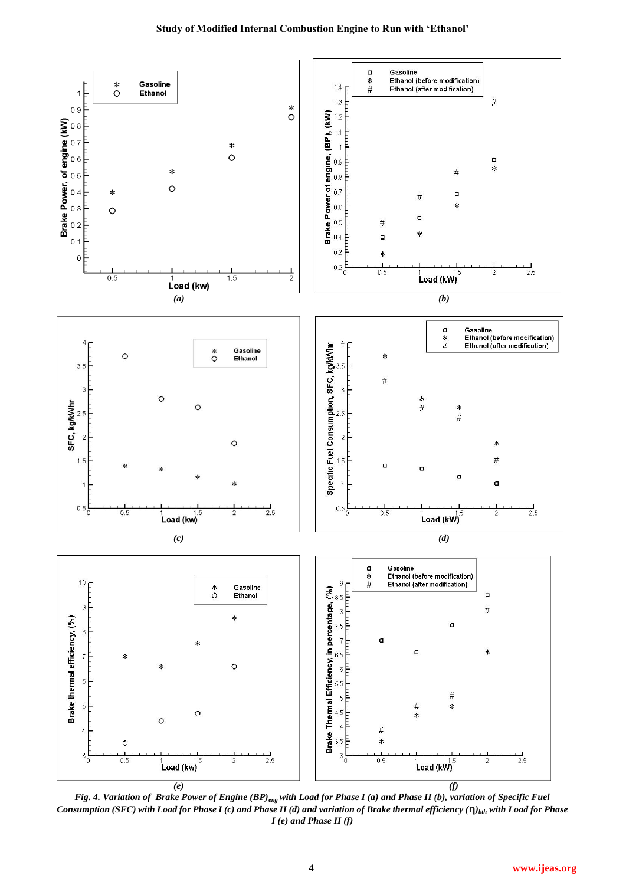

*Fig. 4. Variation of Brake Power of Engine (BP)eng with Load for Phase I (a) and Phase II (b), variation of Specific Fuel Consumption (SFC) with Load for Phase I (c) and Phase II (d) and variation of Brake thermal efficiency (***η***)bth with Load for Phase I (e) and Phase II (f)*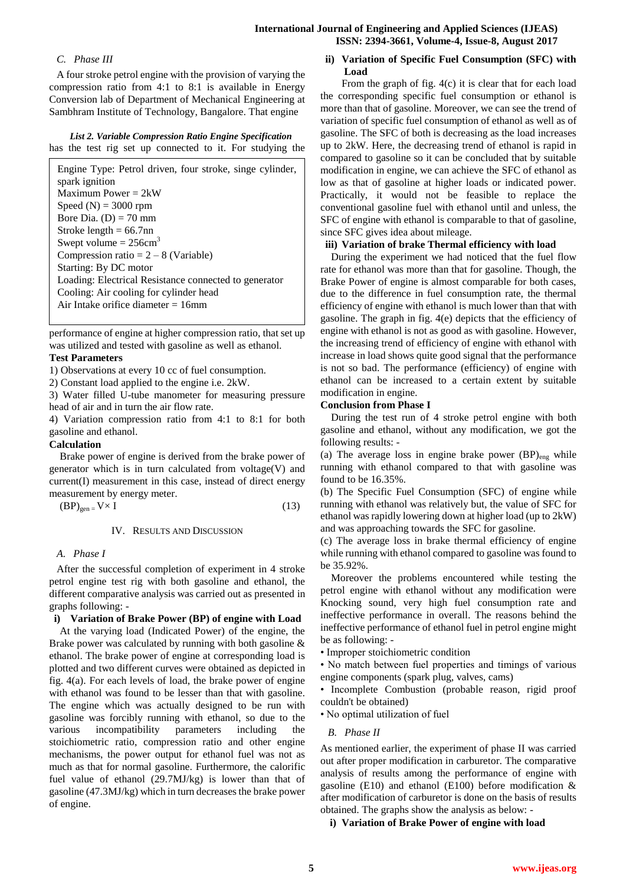# *C. Phase III*

A four stroke petrol engine with the provision of varying the compression ratio from 4:1 to 8:1 is available in Energy Conversion lab of Department of Mechanical Engineering at Sambhram Institute of Technology, Bangalore. That engine

# *List 2. Variable Compression Ratio Engine Specification* has the test rig set up connected to it. For studying the

Engine Type: Petrol driven, four stroke, singe cylinder, spark ignition Maximum Power = 2kW Speed  $(N) = 3000$  rpm Bore Dia.  $(D) = 70$  mm Stroke length  $= 66.7$ nn Swept volume  $= 256 \text{cm}^3$ Compression ratio  $= 2 - 8$  (Variable) Starting: By DC motor Loading: Electrical Resistance connected to generator Cooling: Air cooling for cylinder head Air Intake orifice diameter = 16mm

performance of engine at higher compression ratio, that set up was utilized and tested with gasoline as well as ethanol.

# **Test Parameters**

1) Observations at every 10 cc of fuel consumption.

2) Constant load applied to the engine i.e. 2kW.

3) Water filled U-tube manometer for measuring pressure head of air and in turn the air flow rate.

4) Variation compression ratio from 4:1 to 8:1 for both gasoline and ethanol.

# **Calculation**

Brake power of engine is derived from the brake power of generator which is in turn calculated from voltage(V) and current(I) measurement in this case, instead of direct energy measurement by energy meter.

 $(BP)_{gen} = V \times I$  (13)

# IV. RESULTS AND DISCUSSION

# *A. Phase I*

After the successful completion of experiment in 4 stroke petrol engine test rig with both gasoline and ethanol, the different comparative analysis was carried out as presented in graphs following: -

# **i) Variation of Brake Power (BP) of engine with Load**

At the varying load (Indicated Power) of the engine, the Brake power was calculated by running with both gasoline & ethanol. The brake power of engine at corresponding load is plotted and two different curves were obtained as depicted in fig. 4(a). For each levels of load, the brake power of engine with ethanol was found to be lesser than that with gasoline. The engine which was actually designed to be run with gasoline was forcibly running with ethanol, so due to the various incompatibility parameters including the stoichiometric ratio, compression ratio and other engine mechanisms, the power output for ethanol fuel was not as much as that for normal gasoline. Furthermore, the calorific fuel value of ethanol (29.7MJ/kg) is lower than that of gasoline (47.3MJ/kg) which in turn decreases the brake power of engine.

# **ii) Variation of Specific Fuel Consumption (SFC) with Load**

From the graph of fig. 4(c) it is clear that for each load the corresponding specific fuel consumption or ethanol is more than that of gasoline. Moreover, we can see the trend of variation of specific fuel consumption of ethanol as well as of gasoline. The SFC of both is decreasing as the load increases up to 2kW. Here, the decreasing trend of ethanol is rapid in compared to gasoline so it can be concluded that by suitable modification in engine, we can achieve the SFC of ethanol as low as that of gasoline at higher loads or indicated power. Practically, it would not be feasible to replace the conventional gasoline fuel with ethanol until and unless, the SFC of engine with ethanol is comparable to that of gasoline, since SFC gives idea about mileage.

# **iii) Variation of brake Thermal efficiency with load**

During the experiment we had noticed that the fuel flow rate for ethanol was more than that for gasoline. Though, the Brake Power of engine is almost comparable for both cases, due to the difference in fuel consumption rate, the thermal efficiency of engine with ethanol is much lower than that with gasoline. The graph in fig. 4(e) depicts that the efficiency of engine with ethanol is not as good as with gasoline. However, the increasing trend of efficiency of engine with ethanol with increase in load shows quite good signal that the performance is not so bad. The performance (efficiency) of engine with ethanol can be increased to a certain extent by suitable modification in engine.

# **Conclusion from Phase I**

During the test run of 4 stroke petrol engine with both gasoline and ethanol, without any modification, we got the following results: -

(a) The average loss in engine brake power  $(BP)_{eng}$  while running with ethanol compared to that with gasoline was found to be 16.35%.

(b) The Specific Fuel Consumption (SFC) of engine while running with ethanol was relatively but, the value of SFC for ethanol was rapidly lowering down at higher load (up to 2kW) and was approaching towards the SFC for gasoline.

(c) The average loss in brake thermal efficiency of engine while running with ethanol compared to gasoline was found to be 35.92%.

Moreover the problems encountered while testing the petrol engine with ethanol without any modification were Knocking sound, very high fuel consumption rate and ineffective performance in overall. The reasons behind the ineffective performance of ethanol fuel in petrol engine might be as following: -

• Improper stoichiometric condition

• No match between fuel properties and timings of various engine components (spark plug, valves, cams)

• Incomplete Combustion (probable reason, rigid proof couldn't be obtained)

• No optimal utilization of fuel

# *B. Phase II*

As mentioned earlier, the experiment of phase II was carried out after proper modification in carburetor. The comparative analysis of results among the performance of engine with gasoline (E10) and ethanol (E100) before modification  $\&$ after modification of carburetor is done on the basis of results obtained. The graphs show the analysis as below: -

**i) Variation of Brake Power of engine with load**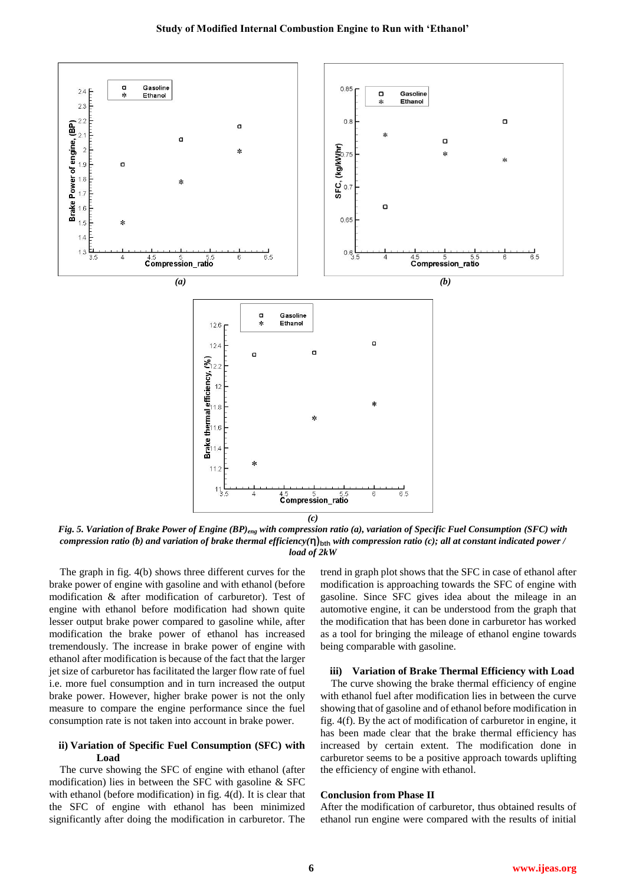

*Fig. 5. Variation of Brake Power of Engine (BP)eng with compression ratio (a), variation of Specific Fuel Consumption (SFC) with compression ratio (b) and variation of brake thermal efficiency(***η)bth** *with compression ratio (c); all at constant indicated power / load of 2kW*

The graph in fig. 4(b) shows three different curves for the brake power of engine with gasoline and with ethanol (before modification & after modification of carburetor). Test of engine with ethanol before modification had shown quite lesser output brake power compared to gasoline while, after modification the brake power of ethanol has increased tremendously. The increase in brake power of engine with ethanol after modification is because of the fact that the larger jet size of carburetor has facilitated the larger flow rate of fuel i.e. more fuel consumption and in turn increased the output brake power. However, higher brake power is not the only measure to compare the engine performance since the fuel consumption rate is not taken into account in brake power.

## **ii) Variation of Specific Fuel Consumption (SFC) with Load**

The curve showing the SFC of engine with ethanol (after modification) lies in between the SFC with gasoline & SFC with ethanol (before modification) in fig. 4(d). It is clear that the SFC of engine with ethanol has been minimized significantly after doing the modification in carburetor. The

trend in graph plot shows that the SFC in case of ethanol after modification is approaching towards the SFC of engine with gasoline. Since SFC gives idea about the mileage in an automotive engine, it can be understood from the graph that the modification that has been done in carburetor has worked as a tool for bringing the mileage of ethanol engine towards being comparable with gasoline.

#### **iii) Variation of Brake Thermal Efficiency with Load**

The curve showing the brake thermal efficiency of engine with ethanol fuel after modification lies in between the curve showing that of gasoline and of ethanol before modification in fig. 4(f). By the act of modification of carburetor in engine, it has been made clear that the brake thermal efficiency has increased by certain extent. The modification done in carburetor seems to be a positive approach towards uplifting the efficiency of engine with ethanol.

## **Conclusion from Phase II**

After the modification of carburetor, thus obtained results of ethanol run engine were compared with the results of initial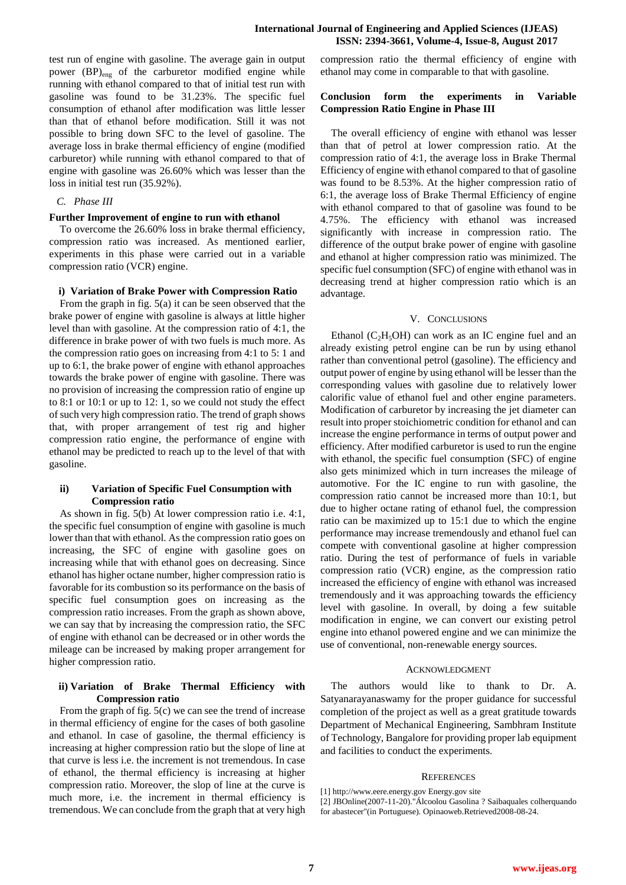test run of engine with gasoline. The average gain in output power (BP)<sub>eng</sub> of the carburetor modified engine while running with ethanol compared to that of initial test run with gasoline was found to be 31.23%. The specific fuel consumption of ethanol after modification was little lesser than that of ethanol before modification. Still it was not possible to bring down SFC to the level of gasoline. The average loss in brake thermal efficiency of engine (modified carburetor) while running with ethanol compared to that of engine with gasoline was 26.60% which was lesser than the loss in initial test run (35.92%).

# *C. Phase III*

## **Further Improvement of engine to run with ethanol**

To overcome the 26.60% loss in brake thermal efficiency, compression ratio was increased. As mentioned earlier, experiments in this phase were carried out in a variable compression ratio (VCR) engine.

#### **i) Variation of Brake Power with Compression Ratio**

From the graph in fig. 5(a) it can be seen observed that the brake power of engine with gasoline is always at little higher level than with gasoline. At the compression ratio of 4:1, the difference in brake power of with two fuels is much more. As the compression ratio goes on increasing from 4:1 to 5: 1 and up to 6:1, the brake power of engine with ethanol approaches towards the brake power of engine with gasoline. There was no provision of increasing the compression ratio of engine up to 8:1 or 10:1 or up to 12: 1, so we could not study the effect of such very high compression ratio. The trend of graph shows that, with proper arrangement of test rig and higher compression ratio engine, the performance of engine with ethanol may be predicted to reach up to the level of that with gasoline.

# **ii) Variation of Specific Fuel Consumption with Compression ratio**

As shown in fig. 5(b) At lower compression ratio i.e. 4:1, the specific fuel consumption of engine with gasoline is much lower than that with ethanol. As the compression ratio goes on increasing, the SFC of engine with gasoline goes on increasing while that with ethanol goes on decreasing. Since ethanol has higher octane number, higher compression ratio is favorable for its combustion so its performance on the basis of specific fuel consumption goes on increasing as the compression ratio increases. From the graph as shown above, we can say that by increasing the compression ratio, the SFC of engine with ethanol can be decreased or in other words the mileage can be increased by making proper arrangement for higher compression ratio.

## **ii) Variation of Brake Thermal Efficiency with Compression ratio**

From the graph of fig. 5(c) we can see the trend of increase in thermal efficiency of engine for the cases of both gasoline and ethanol. In case of gasoline, the thermal efficiency is increasing at higher compression ratio but the slope of line at that curve is less i.e. the increment is not tremendous. In case of ethanol, the thermal efficiency is increasing at higher compression ratio. Moreover, the slop of line at the curve is much more, i.e. the increment in thermal efficiency is tremendous. We can conclude from the graph that at very high compression ratio the thermal efficiency of engine with ethanol may come in comparable to that with gasoline.

## **Conclusion form the experiments in Variable Compression Ratio Engine in Phase III**

The overall efficiency of engine with ethanol was lesser than that of petrol at lower compression ratio. At the compression ratio of 4:1, the average loss in Brake Thermal Efficiency of engine with ethanol compared to that of gasoline was found to be 8.53%. At the higher compression ratio of 6:1, the average loss of Brake Thermal Efficiency of engine with ethanol compared to that of gasoline was found to be 4.75%. The efficiency with ethanol was increased significantly with increase in compression ratio. The difference of the output brake power of engine with gasoline and ethanol at higher compression ratio was minimized. The specific fuel consumption (SFC) of engine with ethanol was in decreasing trend at higher compression ratio which is an advantage.

# V. CONCLUSIONS

Ethanol ( $C_2H_5OH$ ) can work as an IC engine fuel and an already existing petrol engine can be run by using ethanol rather than conventional petrol (gasoline). The efficiency and output power of engine by using ethanol will be lesser than the corresponding values with gasoline due to relatively lower calorific value of ethanol fuel and other engine parameters. Modification of carburetor by increasing the jet diameter can result into proper stoichiometric condition for ethanol and can increase the engine performance in terms of output power and efficiency. After modified carburetor is used to run the engine with ethanol, the specific fuel consumption (SFC) of engine also gets minimized which in turn increases the mileage of automotive. For the IC engine to run with gasoline, the compression ratio cannot be increased more than 10:1, but due to higher octane rating of ethanol fuel, the compression ratio can be maximized up to 15:1 due to which the engine performance may increase tremendously and ethanol fuel can compete with conventional gasoline at higher compression ratio. During the test of performance of fuels in variable compression ratio (VCR) engine, as the compression ratio increased the efficiency of engine with ethanol was increased tremendously and it was approaching towards the efficiency level with gasoline. In overall, by doing a few suitable modification in engine, we can convert our existing petrol engine into ethanol powered engine and we can minimize the use of conventional, non-renewable energy sources.

#### ACKNOWLEDGMENT

The authors would like to thank to Dr. A. Satyanarayanaswamy for the proper guidance for successful completion of the project as well as a great gratitude towards Department of Mechanical Engineering, Sambhram Institute of Technology, Bangalore for providing proper lab equipment and facilities to conduct the experiments.

#### **REFERENCES**

<sup>[1]</sup> http://www.eere.energy.gov Energy.gov site

<sup>[2]</sup> JBOnline(2007-11-20)."Álcoolou Gasolina ? Saibaquales colherquando

for abastecer"(in Portuguese). Opinaoweb.Retrieved2008-08-24.